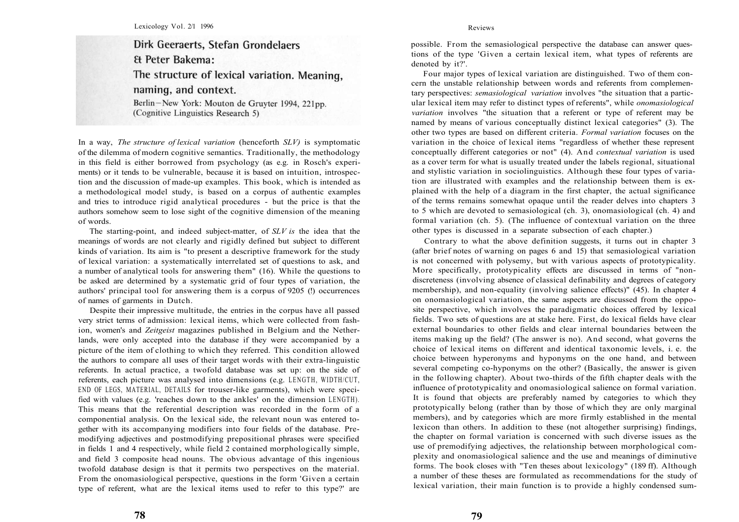## Dirk Geeraerts, Stefan Grondelaers **& Peter Bakema:** The structure of lexical variation. Meaning, naming, and context. Berlin-New York: Mouton de Gruyter 1994, 221pp.

(Cognitive Linguistics Research 5)

In a way, *The structure of lexical variation* (henceforth *SLV)* is symptomatic of the dilemma of modern cognitive semantics. Traditionally, the methodology in this field is either borrowed from psychology (as e.g. in Rosch's experiments) or it tends to be vulnerable, because it is based on intuition, introspection and the discussion of made-up examples. This book, which is intended as a methodological model study, is based on a corpus of authentic examples and tries to introduce rigid analytical procedures - but the price is that the authors somehow seem to lose sight of the cognitive dimension of the meaning of words.

The starting-point, and indeed subject-matter, of *SLV is* the idea that the meanings of words are not clearly and rigidly defined but subject to different kinds of variation. Its aim is "to present a descriptive framework for the study of lexical variation: a systematically interrelated set of questions to ask, and a number of analytical tools for answering them" (16). While the questions to be asked are determined by a systematic grid of four types of variation, the authors' principal tool for answering them is a corpus of 9205 (!) occurrences of names of garments in Dutch.

Despite their impressive multitude, the entries in the corpus have all passed very strict terms of admission: lexical items, which were collected from fashion, women's and *Zeitgeist* magazines published in Belgium and the Netherlands, were only accepted into the database if they were accompanied by a picture of the item of clothing to which they referred. This condition allowed the authors to compare all uses of their target words with their extra-linguistic referents. In actual practice, a twofold database was set up: on the side of referents, each picture was analysed into dimensions (e.g. LENGTH, WIDTH/CUT, END OF LEGS, MATERIAL, DETAILS for trouser-like garments), which were specified with values (e.g. 'reaches down to the ankles' on the dimension LENGTH). This means that the referential description was recorded in the form of a componential analysis. On the lexical side, the relevant noun was entered together with its accompanying modifiers into four fields of the database. Premodifying adjectives and postmodifying prepositional phrases were specified in fields 1 and 4 respectively, while field 2 contained morphologically simple, and field 3 composite head nouns. The obvious advantage of this ingenious twofold database design is that it permits two perspectives on the material. From the onomasiological perspective, questions in the form 'Given a certain type of referent, what are the lexical items used to refer to this type?' are possible. From the semasiological perspective the database can answer questions of the type 'Given a certain lexical item, what types of referents are denoted by it?'.

Four major types of lexical variation are distinguished. Two of them concern the unstable relationship between words and referents from complementary perspectives: *semasiological variation* involves "the situation that a particular lexical item may refer to distinct types of referents", while *onomasiological variation* involves "the situation that a referent or type of referent may be named by means of various conceptually distinct lexical categories" (3). The other two types are based on different criteria. *Formal variation* focuses on the variation in the choice of lexical items "regardless of whether these represent conceptually different categories or not" (4). And *contextual variation* is used as a cover term for what is usually treated under the labels regional, situational and stylistic variation in sociolinguistics. Although these four types of variation are illustrated with examples and the relationship between them is explained with the help of a diagram in the first chapter, the actual significance of the terms remains somewhat opaque until the reader delves into chapters 3 to 5 which are devoted to semasiological (ch. 3), onomasiological (ch. 4) and formal variation (ch. 5). (The influence of contextual variation on the three other types is discussed in a separate subsection of each chapter.)

Contrary to what the above definition suggests, it turns out in chapter 3 (after brief notes of warning on pages 6 and 15) that semasiological variation is not concerned with polysemy, but with various aspects of prototypicality. More specifically, prototypicality effects are discussed in terms of "nondiscreteness (involving absence of classical definability and degrees of category membership), and non-equality (involving salience effects)" (45). In chapter 4 on onomasiological variation, the same aspects are discussed from the opposite perspective, which involves the paradigmatic choices offered by lexical fields. Two sets of questions are at stake here. First, do lexical fields have clear external boundaries to other fields and clear internal boundaries between the items making up the field? (The answer is no). And second, what governs the choice of lexical items on different and identical taxonomic levels, i. e. the choice between hyperonyms and hyponyms on the one hand, and between several competing co-hyponyms on the other? (Basically, the answer is given in the following chapter). About two-thirds of the fifth chapter deals with the influence of prototypicality and onomasiological salience on formal variation. It is found that objects are preferably named by categories to which they prototypically belong (rather than by those of which they are only marginal members), and by categories which are more firmly established in the mental lexicon than others. In addition to these (not altogether surprising) findings, the chapter on formal variation is concerned with such diverse issues as the use of premodifying adjectives, the relationship between morphological complexity and onomasiological salience and the use and meanings of diminutive forms. The book closes with "Ten theses about lexicology" (189 ff). Although a number of these theses are formulated as recommendations for the study of lexical variation, their main function is to provide a highly condensed sum-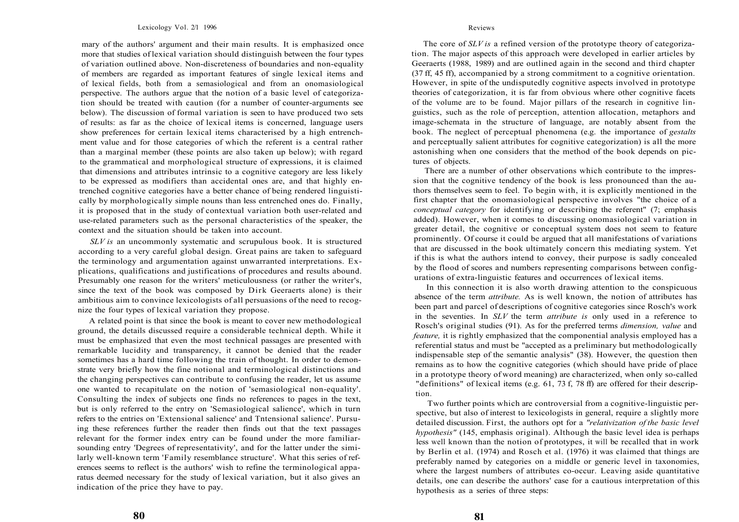mary of the authors' argument and their main results. It is emphasized once more that studies of lexical variation should distinguish between the four types of variation outlined above. Non-discreteness of boundaries and non-equality of members are regarded as important features of single lexical items and of lexical fields, both from a semasiological and from an onomasiological perspective. The authors argue that the notion of a basic level of categorization should be treated with caution (for a number of counter-arguments see below). The discussion of formal variation is seen to have produced two sets of results: as far as the choice of lexical items is concerned, language users show preferences for certain lexical items characterised by a high entrenchment value and for those categories of which the referent is a central rather than a marginal member (these points are also taken up below); with regard to the grammatical and morphological structure of expressions, it is claimed that dimensions and attributes intrinsic to a cognitive category are less likely to be expressed as modifiers than accidental ones are, and that highly entrenched cognitive categories have a better chance of being rendered linguistically by morphologically simple nouns than less entrenched ones do. Finally, it is proposed that in the study of contextual variation both user-related and use-related parameters such as the personal characteristics of the speaker, the context and the situation should be taken into account.

*SLV is* an uncommonly systematic and scrupulous book. It is structured according to a very careful global design. Great pains are taken to safeguard the terminology and argumentation against unwarranted interpretations. Explications, qualifications and justifications of procedures and results abound. Presumably one reason for the writers' meticulousness (or rather the writer's, since the text of the book was composed by Dirk Geeraerts alone) is their ambitious aim to convince lexicologists of all persuasions of the need to recognize the four types of lexical variation they propose.

A related point is that since the book is meant to cover new methodological ground, the details discussed require a considerable technical depth. While it must be emphasized that even the most technical passages are presented with remarkable lucidity and transparency, it cannot be denied that the reader sometimes has a hard time following the train of thought. In order to demonstrate very briefly how the fine notional and terminological distinctions and the changing perspectives can contribute to confusing the reader, let us assume one wanted to recapitulate on the notion of 'semasiological non-equality'. Consulting the index of subjects one finds no references to pages in the text, but is only referred to the entry on 'Semasiological salience', which in turn refers to the entries on 'Extensional salience' and Tntensional salience'. Pursuing these references further the reader then finds out that the text passages relevant for the former index entry can be found under the more familiarsounding entry 'Degrees of representativity', and for the latter under the similarly well-known term 'Family resemblance structure'. What this series of references seems to reflect is the authors' wish to refine the terminological apparatus deemed necessary for the study of lexical variation, but it also gives an indication of the price they have to pay.

The core of *SLV is* a refined version of the prototype theory of categorization. The major aspects of this approach were developed in earlier articles by Geeraerts (1988, 1989) and are outlined again in the second and third chapter (37 ff, 45 ff), accompanied by a strong commitment to a cognitive orientation. However, in spite of the undisputedly cognitive aspects involved in prototype theories of categorization, it is far from obvious where other cognitive facets of the volume are to be found. Major pillars of the research in cognitive linguistics, such as the role of perception, attention allocation, metaphors and image-schemata in the structure of language, are notably absent from the book. The neglect of perceptual phenomena (e.g. the importance of *gestalts*  and perceptually salient attributes for cognitive categorization) is all the more astonishing when one considers that the method of the book depends on pictures of objects.

There are a number of other observations which contribute to the impression that the cognitive tendency of the book is less pronounced than the authors themselves seem to feel. To begin with, it is explicitly mentioned in the first chapter that the onomasiological perspective involves "the choice of a *conceptual category* for identifying or describing the referent" (7; emphasis added). However, when it comes to discussing onomasiological variation in greater detail, the cognitive or conceptual system does not seem to feature prominently. Of course it could be argued that all manifestations of variations that are discussed in the book ultimately concern this mediating system. Yet if this is what the authors intend to convey, their purpose is sadly concealed by the flood of scores and numbers representing comparisons between configurations of extra-linguistic features and occurrences of lexical items.

In this connection it is also worth drawing attention to the conspicuous absence of the term *attribute.* As is well known, the notion of attributes has been part and parcel of descriptions of cognitive categories since Rosch's work in the seventies. In *SLV* the term *attribute is* only used in a reference to Rosch's original studies (91). As for the preferred terms *dimension, value* and *feature,* it is rightly emphasized that the componential analysis employed has a referential status and must be "accepted as a preliminary but methodologically indispensable step of the semantic analysis" (38). However, the question then remains as to how the cognitive categories (which should have pride of place in a prototype theory of word meaning) are characterized, when only so-called "definitions" of lexical items (e.g. 61, 73 f, 78 ff) are offered for their description.

Two further points which are controversial from a cognitive-linguistic perspective, but also of interest to lexicologists in general, require a slightly more detailed discussion. First, the authors opt for a *"relativization of the basic level hypothesis"* (145, emphasis original). Although the basic level idea is perhaps less well known than the notion of prototypes, it will be recalled that in work by Berlin et al. (1974) and Rosch et al. (1976) it was claimed that things are preferably named by categories on a middle or generic level in taxonomies, where the largest numbers of attributes co-occur. Leaving aside quantitative details, one can describe the authors' case for a cautious interpretation of this hypothesis as a series of three steps:

**80**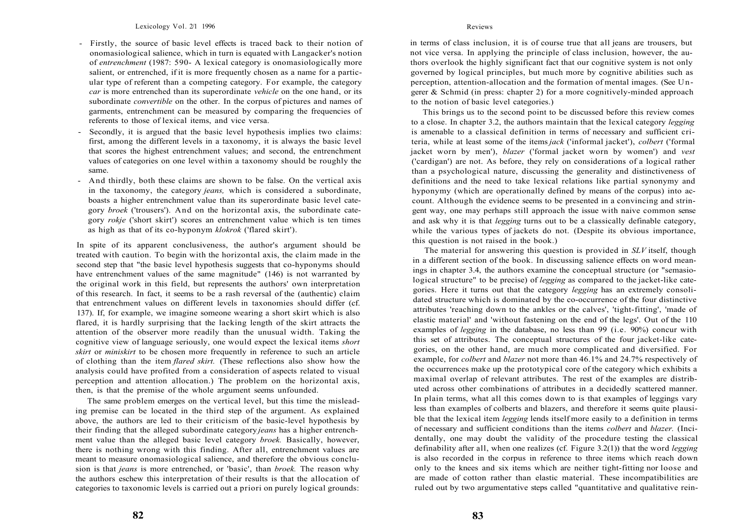- Firstly, the source of basic level effects is traced back to their notion of onomasiological salience, which in turn is equated with Langacker's notion of *entrenchment* (1987: 590- A lexical category is onomasiologically more salient, or entrenched, if it is more frequently chosen as a name for a particular type of referent than a competing category. For example, the category *car* is more entrenched than its superordinate *vehicle* on the one hand, or its subordinate *convertible* on the other. In the corpus of pictures and names of garments, entrenchment can be measured by comparing the frequencies of referents to those of lexical items, and vice versa.
- Secondly, it is argued that the basic level hypothesis implies two claims: first, among the different levels in a taxonomy, it is always the basic level that scores the highest entrenchment values; and second, the entrenchment values of categories on one level within a taxonomy should be roughly the same.
- And thirdly, both these claims are shown to be false. On the vertical axis in the taxonomy, the category *jeans,* which is considered a subordinate, boasts a higher entrenchment value than its superordinate basic level category *broek* ('trousers'). And on the horizontal axis, the subordinate category *rokje* ('short skirt') scores an entrenchment value which is ten times as high as that of its co-hyponym *klokrok* ('flared skirt').

In spite of its apparent conclusiveness, the author's argument should be treated with caution. To begin with the horizontal axis, the claim made in the second step that "the basic level hypothesis suggests that co-hyponyms should have entrenchment values of the same magnitude" (146) is not warranted by the original work in this field, but represents the authors' own interpretation of this research. In fact, it seems to be a rash reversal of the (authentic) claim that entrenchment values on different levels in taxonomies should differ (cf. 137). If, for example, we imagine someone wearing a short skirt which is also flared, it is hardly surprising that the lacking length of the skirt attracts the attention of the observer more readily than the unusual width. Taking the cognitive view of language seriously, one would expect the lexical items *short skirt* or *miniskirt* to be chosen more frequently in reference to such an article of clothing than the item *flared skirt.* (These reflections also show how the analysis could have profited from a consideration of aspects related to visual perception and attention allocation.) The problem on the horizontal axis, then, is that the premise of the whole argument seems unfounded.

The same problem emerges on the vertical level, but this time the misleading premise can be located in the third step of the argument. As explained above, the authors are led to their criticism of the basic-level hypothesis by their finding that the alleged subordinate category *jeans* has a higher entrenchment value than the alleged basic level category *broek.* Basically, however, there is nothing wrong with this finding. After all, entrenchment values are meant to measure onomasiological salience, and therefore the obvious conclusion is that *jeans* is more entrenched, or 'basic', than *broek.* The reason why the authors eschew this interpretation of their results is that the allocation of categories to taxonomic levels is carried out a priori on purely logical grounds:

in terms of class inclusion, it is of course true that all jeans are trousers, but not vice versa. In applying the principle of class inclusion, however, the authors overlook the highly significant fact that our cognitive system is not only governed by logical principles, but much more by cognitive abilities such as perception, attention-allocation and the formation of mental images. (See Ungerer  $\&$  Schmid (in press: chapter 2) for a more cognitively-minded approach to the notion of basic level categories.)

This brings us to the second point to be discussed before this review comes to a close. In chapter 3.2, the authors maintain that the lexical category *legging*  is amenable to a classical definition in terms of necessary and sufficient criteria, while at least some of the items *jack* ('informal jacket'), *colbert* ('formal jacket worn by men'), *blazer* ('formal jacket worn by women') and *vest*  ('cardigan') are not. As before, they rely on considerations of a logical rather than a psychological nature, discussing the generality and distinctiveness of definitions and the need to take lexical relations like partial synonymy and hyponymy (which are operationally defined by means of the corpus) into account. Although the evidence seems to be presented in a convincing and stringent way, one may perhaps still approach the issue with naive common sense and ask why it is that *legging* turns out to be a classically definable category, while the various types of jackets do not. (Despite its obvious importance, this question is not raised in the book.)

The material for answering this question is provided in *SLV* itself, though in a different section of the book. In discussing salience effects on word meanings in chapter 3.4, the authors examine the conceptual structure (or "semasiological structure" to be precise) of *legging* as compared to the jacket-like categories. Here it turns out that the category *legging* has an extremely consolidated structure which is dominated by the co-occurrence of the four distinctive attributes 'reaching down to the ankles or the calves', 'tight-fitting', 'made of elastic material' and 'without fastening on the end of the legs'. Out of the 110 examples of *legging* in the database, no less than 99 (i.e. 90%) concur with this set of attributes. The conceptual structures of the four jacket-like categories, on the other hand, are much more complicated and diversified. For example, for *colbert* and *blazer* not more than 46.1% and 24.7% respectively of the occurrences make up the prototypical core of the category which exhibits a maximal overlap of relevant attributes. The rest of the examples are distributed across other combinations of attributes in a decidedly scattered manner. In plain terms, what all this comes down to is that examples of leggings vary less than examples of colberts and blazers, and therefore it seems quite plausible that the lexical item *legging* lends itself more easily to a definition in terms of necessary and sufficient conditions than the items *colbert* and *blazer.* (Incidentally, one may doubt the validity of the procedure testing the classical definability after all, when one realizes (cf. Figure 3.2(1)) that the word *legging*  is also recorded in the corpus in reference to three items which reach down only to the knees and six items which are neither tight-fitting nor loose and are made of cotton rather than elastic material. These incompatibilities are ruled out by two argumentative steps called "quantitative and qualitative rein-